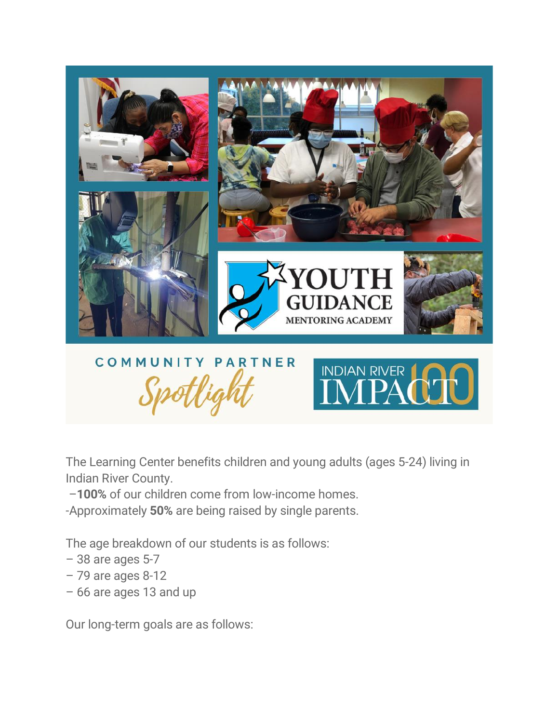

The Learning Center benefits children and young adults (ages 5-24) living in Indian River County.

–100% of our children come from low-income homes.

-Approximately 50% are being raised by single parents.

The age breakdown of our students is as follows:

- 38 are ages 5-7
- 79 are ages 8-12
- 66 are ages 13 and up

Our long-term goals are as follows: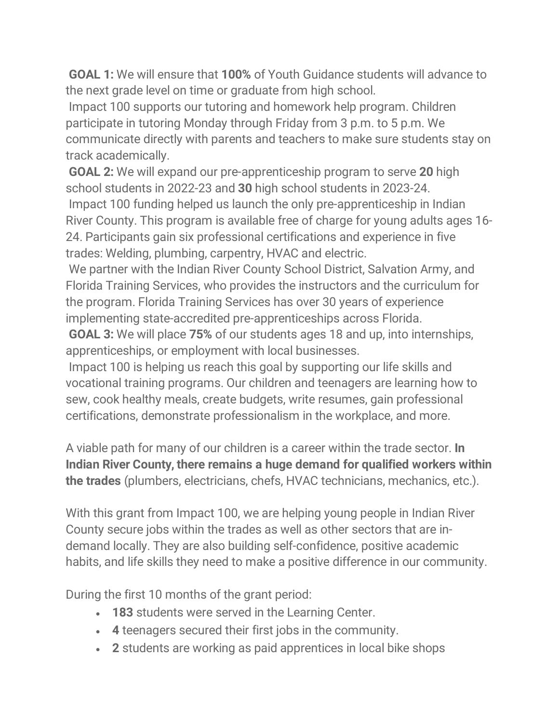GOAL 1: We will ensure that 100% of Youth Guidance students will advance to the next grade level on time or graduate from high school.

Impact 100 supports our tutoring and homework help program. Children participate in tutoring Monday through Friday from 3 p.m. to 5 p.m. We communicate directly with parents and teachers to make sure students stay on track academically.

GOAL 2: We will expand our pre-apprenticeship program to serve 20 high school students in 2022-23 and 30 high school students in 2023-24. Impact 100 funding helped us launch the only pre-apprenticeship in Indian River County. This program is available free of charge for young adults ages 16- 24. Participants gain six professional certifications and experience in five trades: Welding, plumbing, carpentry, HVAC and electric.

We partner with the Indian River County School District, Salvation Army, and Florida Training Services, who provides the instructors and the curriculum for the program. Florida Training Services has over 30 years of experience implementing state-accredited pre-apprenticeships across Florida.

GOAL 3: We will place 75% of our students ages 18 and up, into internships, apprenticeships, or employment with local businesses.

Impact 100 is helping us reach this goal by supporting our life skills and vocational training programs. Our children and teenagers are learning how to sew, cook healthy meals, create budgets, write resumes, gain professional certifications, demonstrate professionalism in the workplace, and more.

A viable path for many of our children is a career within the trade sector. In Indian River County, there remains a huge demand for qualified workers within the trades (plumbers, electricians, chefs, HVAC technicians, mechanics, etc.).

With this grant from Impact 100, we are helping young people in Indian River County secure jobs within the trades as well as other sectors that are indemand locally. They are also building self-confidence, positive academic habits, and life skills they need to make a positive difference in our community.

During the first 10 months of the grant period:

- 183 students were served in the Learning Center.
- 4 teenagers secured their first jobs in the community.
- 2 students are working as paid apprentices in local bike shops